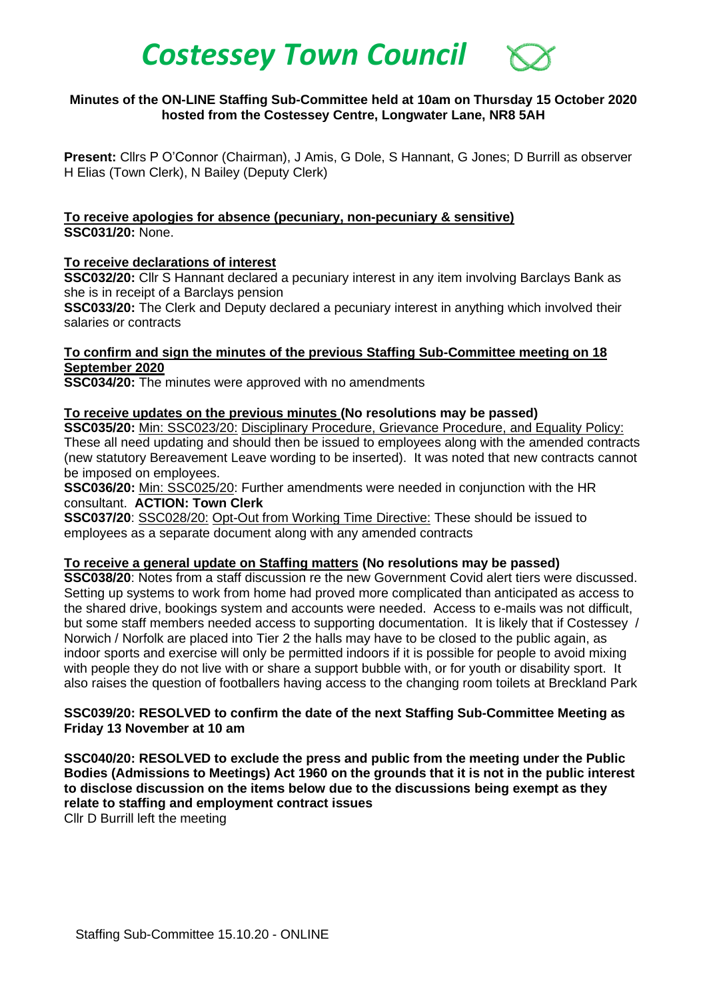# *Costessey Town Council*

# **Minutes of the ON-LINE Staffing Sub-Committee held at 10am on Thursday 15 October 2020 hosted from the Costessey Centre, Longwater Lane, NR8 5AH**

**Present:** Cllrs P O'Connor (Chairman), J Amis, G Dole, S Hannant, G Jones; D Burrill as observer H Elias (Town Clerk), N Bailey (Deputy Clerk)

**To receive apologies for absence (pecuniary, non-pecuniary & sensitive) SSC031/20:** None.

# **To receive declarations of interest**

**SSC032/20:** Cllr S Hannant declared a pecuniary interest in any item involving Barclays Bank as she is in receipt of a Barclays pension

**SSC033/20:** The Clerk and Deputy declared a pecuniary interest in anything which involved their salaries or contracts

# **To confirm and sign the minutes of the previous Staffing Sub-Committee meeting on 18 September 2020**

**SSC034/20:** The minutes were approved with no amendments

# **To receive updates on the previous minutes (No resolutions may be passed)**

**SSC035/20:** Min: SSC023/20: Disciplinary Procedure, Grievance Procedure, and Equality Policy: These all need updating and should then be issued to employees along with the amended contracts (new statutory Bereavement Leave wording to be inserted). It was noted that new contracts cannot be imposed on employees.

**SSC036/20:** Min: SSC025/20: Further amendments were needed in conjunction with the HR consultant. **ACTION: Town Clerk**

**SSC037/20**: SSC028/20: Opt-Out from Working Time Directive: These should be issued to employees as a separate document along with any amended contracts

#### **To receive a general update on Staffing matters (No resolutions may be passed)**

**SSC038/20**: Notes from a staff discussion re the new Government Covid alert tiers were discussed. Setting up systems to work from home had proved more complicated than anticipated as access to the shared drive, bookings system and accounts were needed. Access to e-mails was not difficult, but some staff members needed access to supporting documentation. It is likely that if Costessey / Norwich / Norfolk are placed into Tier 2 the halls may have to be closed to the public again, as indoor sports and exercise will only be permitted indoors if it is possible for people to avoid mixing with people they do not live with or share a support bubble with, or for youth or disability sport. It also raises the question of footballers having access to the changing room toilets at Breckland Park

# **SSC039/20: RESOLVED to confirm the date of the next Staffing Sub-Committee Meeting as Friday 13 November at 10 am**

**SSC040/20: RESOLVED to exclude the press and public from the meeting under the Public Bodies (Admissions to Meetings) Act 1960 on the grounds that it is not in the public interest to disclose discussion on the items below due to the discussions being exempt as they relate to staffing and employment contract issues**

Cllr D Burrill left the meeting